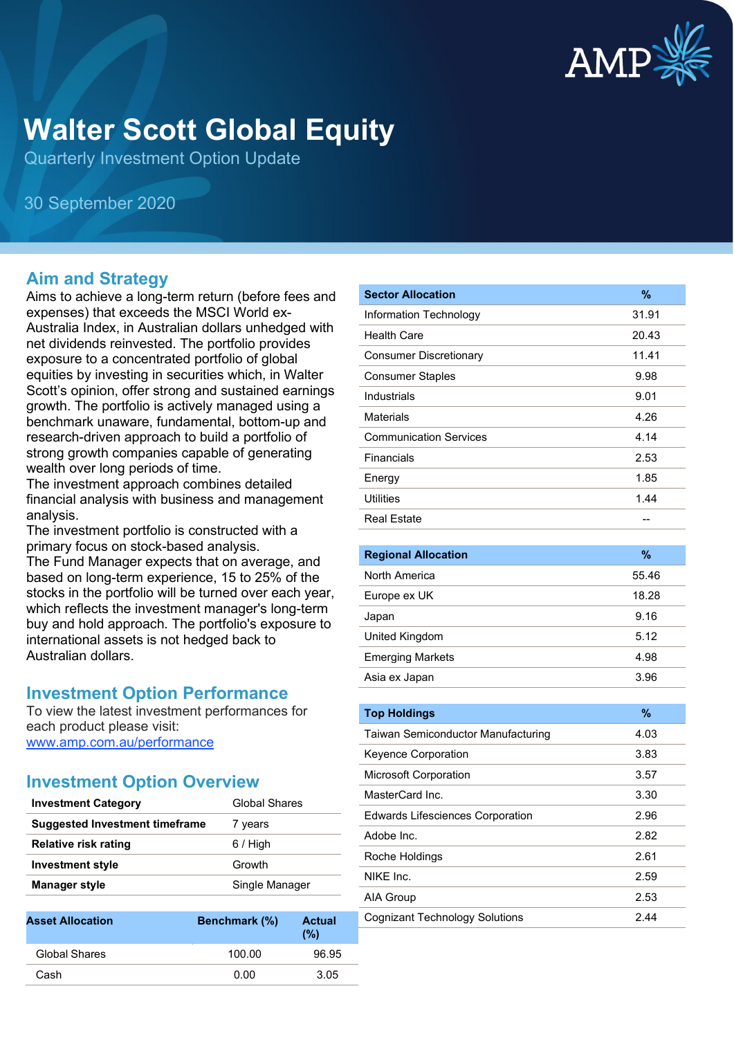

# **Walter Scott Global Equity**

Quarterly Investment Option Update

30 September 2020

# **Aim and Strategy**

Aims to achieve a long-term return (before fees and expenses) that exceeds the MSCI World ex-Australia Index, in Australian dollars unhedged with net dividends reinvested. The portfolio provides exposure to a concentrated portfolio of global equities by investing in securities which, in Walter Scott's opinion, offer strong and sustained earnings growth. The portfolio is actively managed using a benchmark unaware, fundamental, bottom-up and research-driven approach to build a portfolio of strong growth companies capable of generating wealth over long periods of time.

The investment approach combines detailed financial analysis with business and management analysis.

The investment portfolio is constructed with a primary focus on stock-based analysis.

The Fund Manager expects that on average, and based on long-term experience, 15 to 25% of the stocks in the portfolio will be turned over each year, which reflects the investment manager's long-term buy and hold approach. The portfolio's exposure to international assets is not hedged back to Australian dollars.

# **Investment Option Performance**

To view the latest investment performances for each product please visit: [www.amp.com.au/performance](https://www.amp.com.au/performance)

# **Investment Option Overview**

| <b>Investment Category</b>            | Global Shares  |
|---------------------------------------|----------------|
| <b>Suggested Investment timeframe</b> | 7 years        |
| Relative risk rating                  | 6 / High       |
| <b>Investment style</b>               | Growth         |
| <b>Manager style</b>                  | Single Manager |
|                                       |                |

| <b>Asset Allocation</b> | <b>Benchmark (%)</b> | <b>Actual</b><br>(%) |
|-------------------------|----------------------|----------------------|
| Global Shares           | 100.00               | 96.95                |
| Cash                    | 0.00                 | 3.05                 |

| <b>Sector Allocation</b>      | %     |
|-------------------------------|-------|
| Information Technology        | 31.91 |
| <b>Health Care</b>            | 20.43 |
| <b>Consumer Discretionary</b> | 11.41 |
| <b>Consumer Staples</b>       | 9.98  |
| Industrials                   | 9.01  |
| <b>Materials</b>              | 4.26  |
| <b>Communication Services</b> | 4.14  |
| Financials                    | 2.53  |
| Energy                        | 1.85  |
| <b>Utilities</b>              | 1.44  |
| <b>Real Estate</b>            |       |

| <b>Regional Allocation</b> | %     |
|----------------------------|-------|
| North America              | 55.46 |
| Europe ex UK               | 18.28 |
| Japan                      | 9.16  |
| United Kingdom             | 5.12  |
| <b>Emerging Markets</b>    | 4.98  |
| Asia ex Japan              | 3.96  |

| <b>Top Holdings</b>                       | $\frac{9}{6}$ |
|-------------------------------------------|---------------|
| <b>Taiwan Semiconductor Manufacturing</b> | 4.03          |
| Keyence Corporation                       | 3.83          |
| <b>Microsoft Corporation</b>              | 3.57          |
| MasterCard Inc.                           | 3.30          |
| <b>Edwards Lifesciences Corporation</b>   | 2.96          |
| Adobe Inc.                                | 2.82          |
| Roche Holdings                            | 2.61          |
| NIKF Inc.                                 | 2.59          |
| AIA Group                                 | 2.53          |
| Cognizant Technology Solutions            | 2.44          |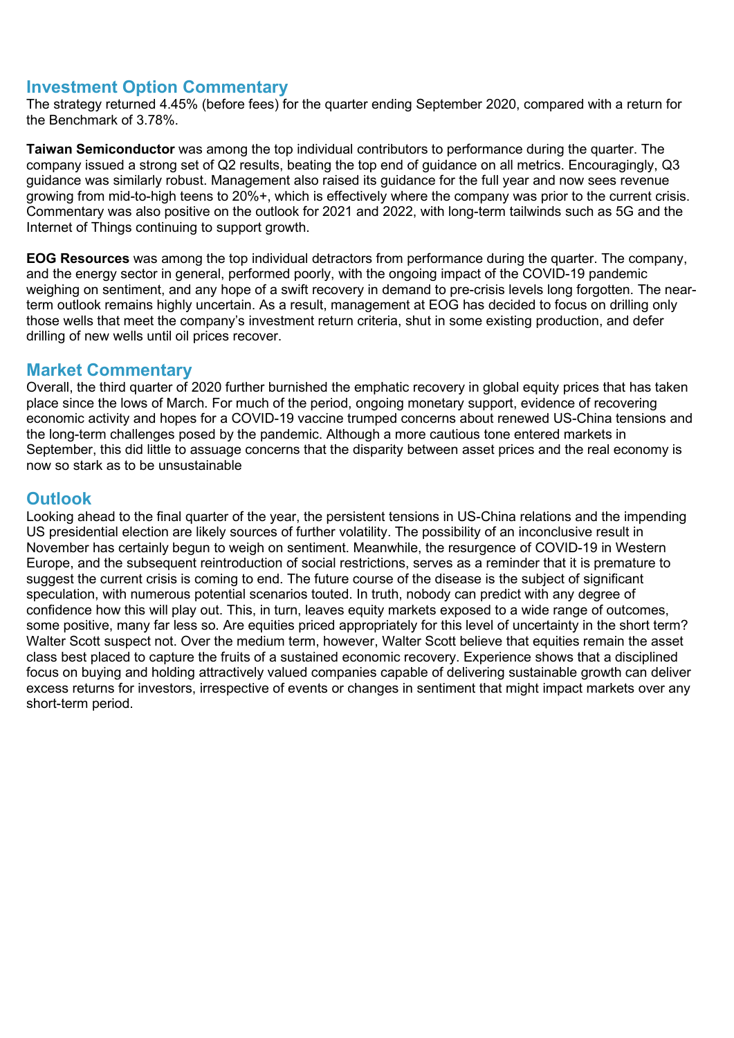# **Investment Option Commentary**

The strategy returned 4.45% (before fees) for the quarter ending September 2020, compared with a return for the Benchmark of 3.78%.

**Taiwan Semiconductor** was among the top individual contributors to performance during the quarter. The company issued a strong set of Q2 results, beating the top end of guidance on all metrics. Encouragingly, Q3 guidance was similarly robust. Management also raised its guidance for the full year and now sees revenue growing from mid-to-high teens to 20%+, which is effectively where the company was prior to the current crisis. Commentary was also positive on the outlook for 2021 and 2022, with long-term tailwinds such as 5G and the Internet of Things continuing to support growth.

**EOG Resources** was among the top individual detractors from performance during the quarter. The company, and the energy sector in general, performed poorly, with the ongoing impact of the COVID-19 pandemic weighing on sentiment, and any hope of a swift recovery in demand to pre-crisis levels long forgotten. The nearterm outlook remains highly uncertain. As a result, management at EOG has decided to focus on drilling only those wells that meet the company's investment return criteria, shut in some existing production, and defer drilling of new wells until oil prices recover.

### **Market Commentary**

Overall, the third quarter of 2020 further burnished the emphatic recovery in global equity prices that has taken place since the lows of March. For much of the period, ongoing monetary support, evidence of recovering economic activity and hopes for a COVID-19 vaccine trumped concerns about renewed US-China tensions and the long-term challenges posed by the pandemic. Although a more cautious tone entered markets in September, this did little to assuage concerns that the disparity between asset prices and the real economy is now so stark as to be unsustainable

# **Outlook**

Looking ahead to the final quarter of the year, the persistent tensions in US-China relations and the impending US presidential election are likely sources of further volatility. The possibility of an inconclusive result in November has certainly begun to weigh on sentiment. Meanwhile, the resurgence of COVID-19 in Western Europe, and the subsequent reintroduction of social restrictions, serves as a reminder that it is premature to suggest the current crisis is coming to end. The future course of the disease is the subject of significant speculation, with numerous potential scenarios touted. In truth, nobody can predict with any degree of confidence how this will play out. This, in turn, leaves equity markets exposed to a wide range of outcomes, some positive, many far less so. Are equities priced appropriately for this level of uncertainty in the short term? Walter Scott suspect not. Over the medium term, however, Walter Scott believe that equities remain the asset class best placed to capture the fruits of a sustained economic recovery. Experience shows that a disciplined focus on buying and holding attractively valued companies capable of delivering sustainable growth can deliver excess returns for investors, irrespective of events or changes in sentiment that might impact markets over any short-term period.